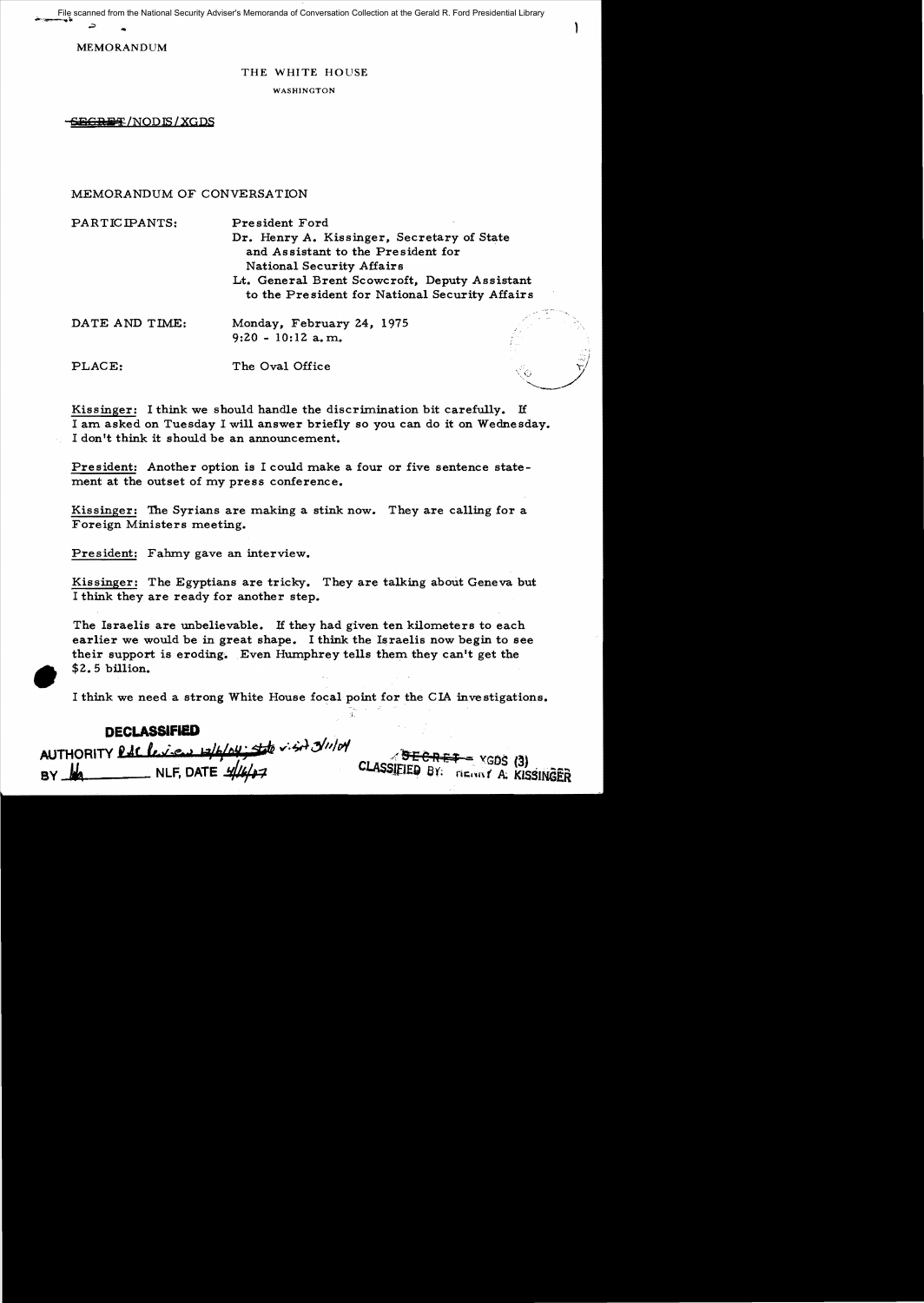... File scanned from the National Security Adviser's Memoranda of Conversation Collection at the Gerald R. Ford Presidential Library

MEMORANDUM

## THE WHITE HOUSE

١

#### WASHINGTON

**&BGREF**/NODIS/XGDS

# MEMORANDUM OF CONVERSATION

| PARTICIPANTS:  | President Ford<br>Dr. Henry A. Kissinger, Secretary of State<br>and Assistant to the President for<br>National Security Affairs<br>Lt. General Brent Scowcroft, Deputy Assistant<br>to the President for National Security Affairs |  |
|----------------|------------------------------------------------------------------------------------------------------------------------------------------------------------------------------------------------------------------------------------|--|
| DATE AND TIME: | Monday, February 24, 1975<br>$9:20 - 10:12$ a, m.                                                                                                                                                                                  |  |
| PLACE:         | The Oval Office                                                                                                                                                                                                                    |  |

Kissinger: I think we should handle the discrimination bit carefully. If I am asked on Tuesday I will answer briefly so you can do it on Wednesday. I don't think it should be an announcement.

President: Another option is I could make a four or five sentence statement at the outset of my press conference.

Kissinger: The Syrians are making a stink now. They are calling for a Foreign Ministers meeting.

President: Fahmy gave an interview.

**•** 

Kissinger: The Egyptians are tricky. They are talking about Geneva but I think they are ready for another step.

The Israelis are unbelievable. If they had given ten kilometers to each earlier we would be in great shape. I think the Israelis now begin to see their support is eroding. Even Humphrey tells them they can't get the  $$2.5$  billion.

I think we need a strong White House focal point for the CIA investigations.

;.

| <b>DECLASSIFIED</b>                        |                                    |
|--------------------------------------------|------------------------------------|
| AUTHORITY PAC leven whole to visit 3/11/01 |                                    |
| NLF, DATE $\frac{1}{4}$<br>BY MA           | CLASSIFIED BY: TIERRY A: KISSINGER |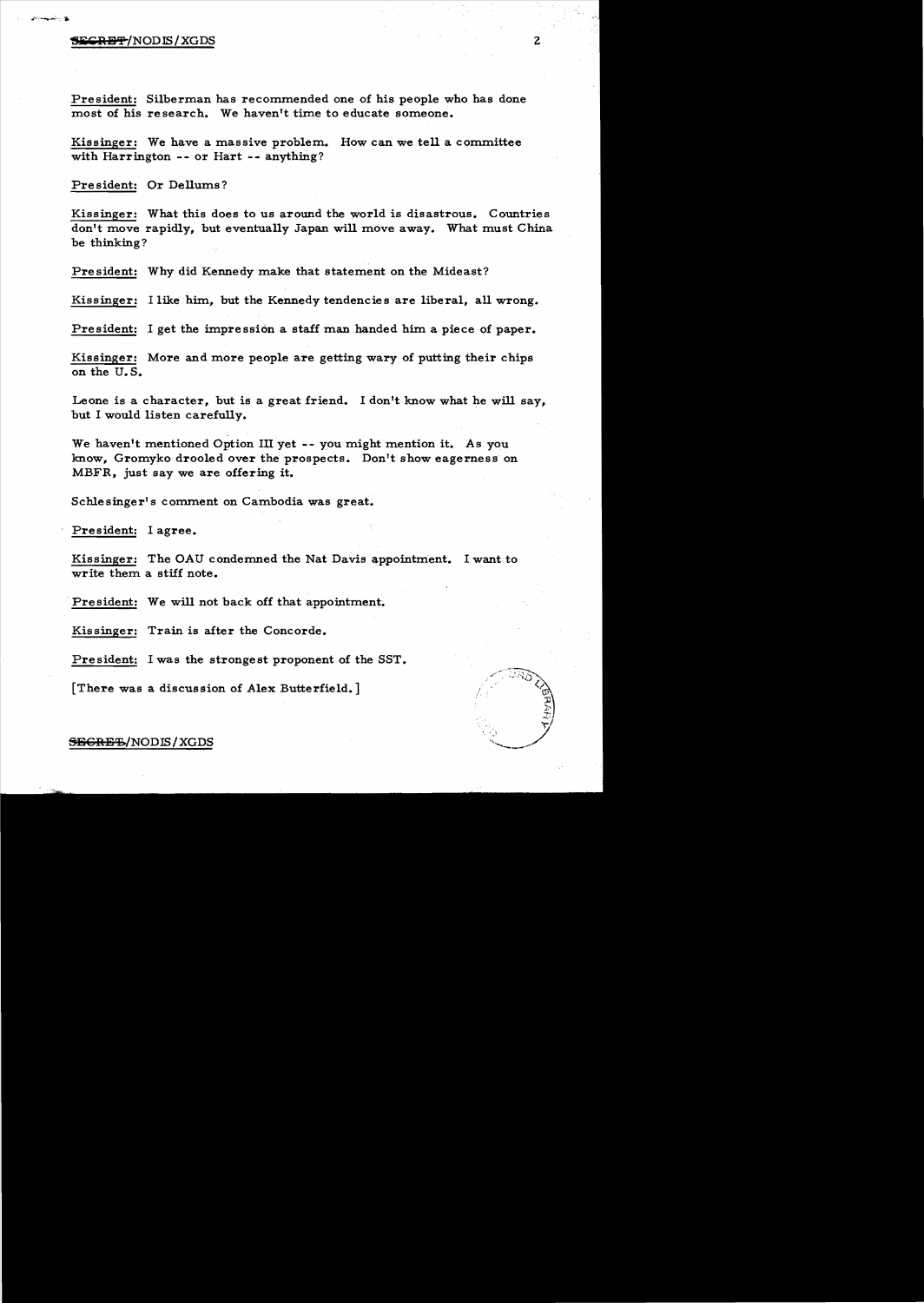#### SECRET/NODIS/XGDS

President: Silberman has recommended one of his people who has done most of his research. We haven't time to educate someone.

Kissinger: We have a massive problem. How can we tell a committee with Harrington -- or Hart -- anything?

President: Or Dellums?

Kissinger: What this does to us around the world is disastrous. Countries don't move rapidly, but eventually Japan will move away. What must China be thinking?

President: Why did Kennedy make that statement on the Mideast?

Kissinger: I like him, but the Kennedy tendencies are liberal, all wrong.

President: I get the impression a staff man handed him a piece of paper.

Kissinger: More and more people are getting wary of putting their chips on the U. S.

Leone is a character, but is a great friend. I don't know what he will say, but I would listen carefully.

We haven't mentioned Option III yet -- you might mention it. As you know, Gromyko drooled over the prospects. Don't show eagerness on MBFR, just say we are offering it.

Schlesinger's comment on Cambodia was great.

President: I agree.

Kissinger: The OAU condemned the Nat Davis appointment. I want to write them a stiff note.

President: We will not back off that appointment.

Kissinger: Train is after the Concorde.

President: I was the strongest proponent of the SST.

[There was a discussion of Alex Butterfield.]



### SEGRE'S/NODIS/XGDS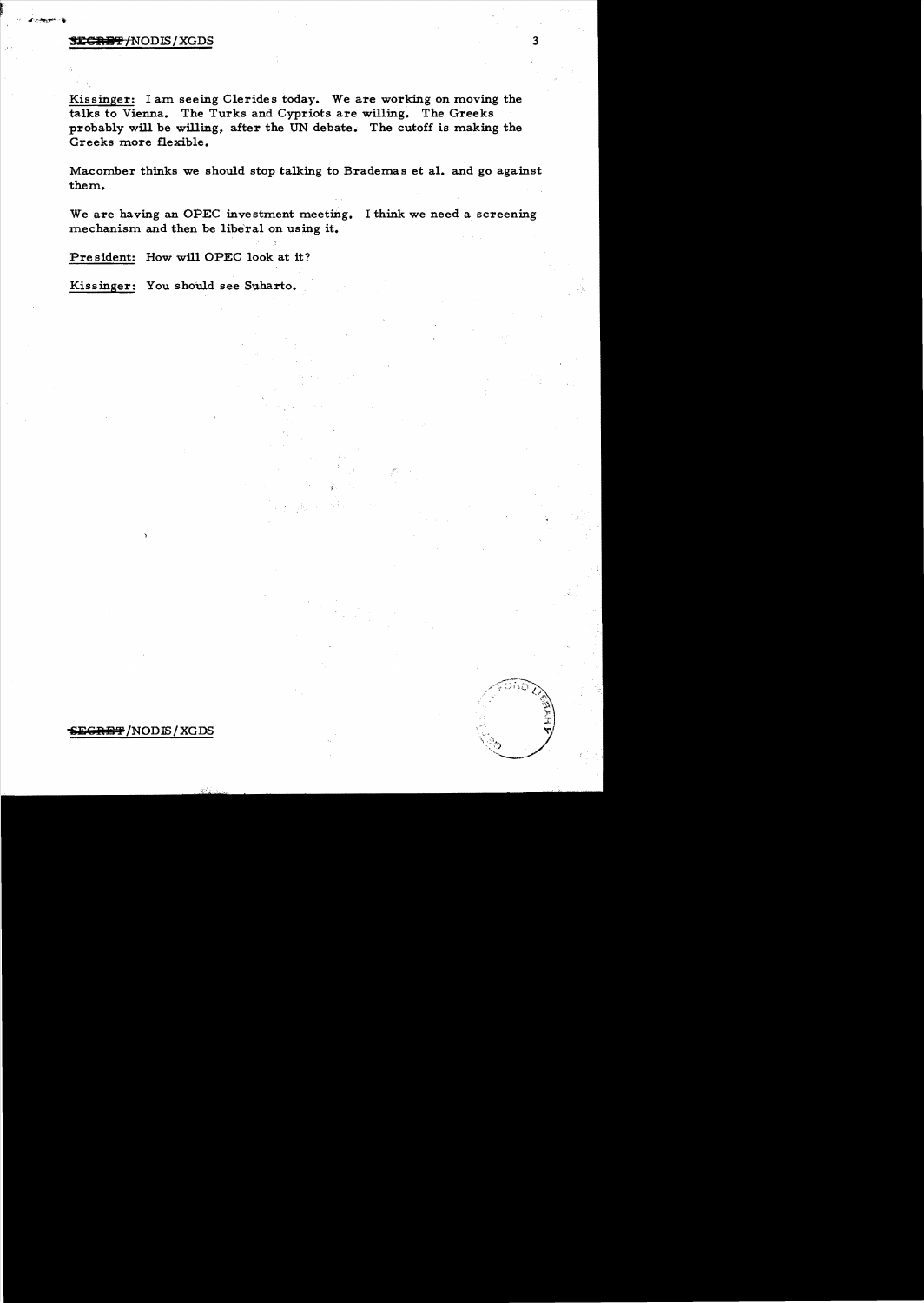# **SECRET/NODIS/XGDS**

Kissinger: I am seeing Clerides today. We are working on moving the talks to Vienna. The Turks and Cypriots are willing. The Greeks probably will be willing, after the UN debate. The cutoff is making the Greeks more flexible.

Macomber thinks we should stop talking to Brademas et al. and go against them.

We are having an OPEC investment meeting. I think we need a screening mechanism and then be liberal on using it.

President: How will OPEC look at it?

Kissinger: You should see Suharto.

# E<del>CRET</del>/NODE/XGDS

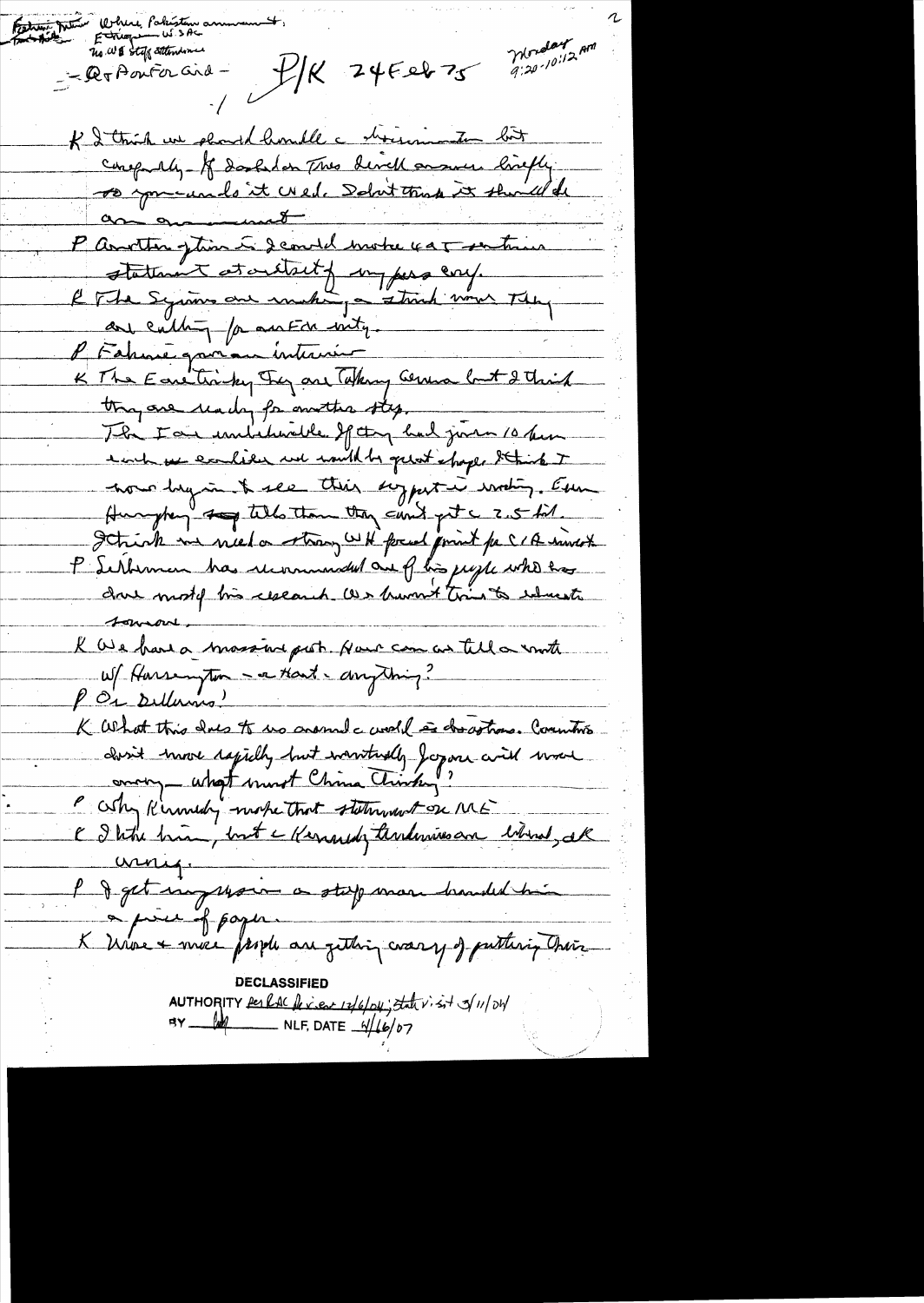Fation Monde Where Partition of Monday<br>9:20-10:12 AM  $411245227$ - lex Aouter and-K I think we should handle a shownington but conspiration of desolution two divide answer livetly P Another getin is demand motre var sentime statement at oritait from pers cory. le The Syrms une entre entre 1970.<br>P Fahme grou au Internier de Comme but 2 think thing are under for mother step ... The Fair unitativele If they had jurie 10 hours each we excelled not would be quest shape Staints I nous hyan & see this suggest in wating. Even Hungberg to tells then they can't get a 2.5 kil. Schich me nied a strong WH focal print for CIA sincet P Serbennen has recommended and flis just who has dove most tis research as hummet tries to educate  $1 -$ K We have a massive post Nous can as tell a wrote W/ Harsempton - a Hart - drugthing? PO1 Dellamo! K What this das to us crossed c world is described commitment don't know dapidly but wanturdly for me will work " Why Kinnedy mote that statement on ME C I titre brian, but a Kernandy tandemines an internet, all  $unu_1$ l d'act impression à stage mar branded him  $\rightarrow \mu u + \beta \rho o \gamma u$ K Universionne from an getting coasy of putting their **DECLASSIFIED** AUTHORITY Per RAC fe view 12/6/04; that visit of 11/04  $AY$   $100$